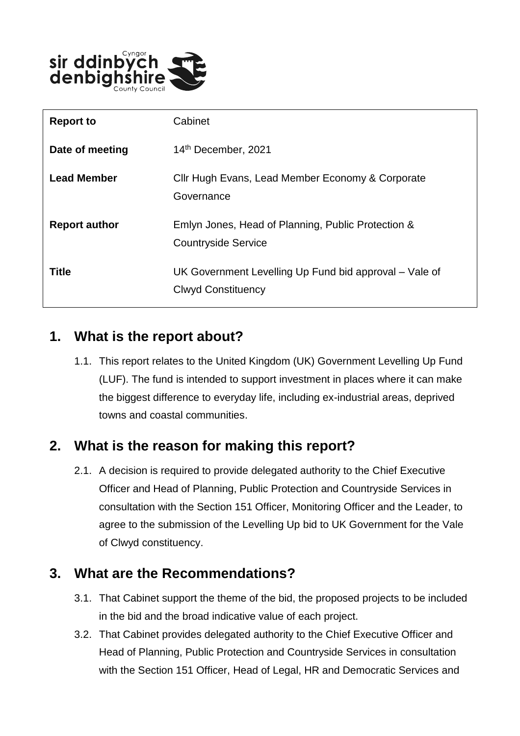

| <b>Report to</b>     | Cabinet                                                                             |
|----------------------|-------------------------------------------------------------------------------------|
| Date of meeting      | 14th December, 2021                                                                 |
| <b>Lead Member</b>   | Cllr Hugh Evans, Lead Member Economy & Corporate<br>Governance                      |
| <b>Report author</b> | Emlyn Jones, Head of Planning, Public Protection &<br><b>Countryside Service</b>    |
| <b>Title</b>         | UK Government Levelling Up Fund bid approval – Vale of<br><b>Clwyd Constituency</b> |

## **1. What is the report about?**

1.1. This report relates to the United Kingdom (UK) Government Levelling Up Fund (LUF). The fund is intended to support investment in places where it can make the biggest difference to everyday life, including ex-industrial areas, deprived towns and coastal communities.

## **2. What is the reason for making this report?**

2.1. A decision is required to provide delegated authority to the Chief Executive Officer and Head of Planning, Public Protection and Countryside Services in consultation with the Section 151 Officer, Monitoring Officer and the Leader, to agree to the submission of the Levelling Up bid to UK Government for the Vale of Clwyd constituency.

#### **3. What are the Recommendations?**

- 3.1. That Cabinet support the theme of the bid, the proposed projects to be included in the bid and the broad indicative value of each project.
- 3.2. That Cabinet provides delegated authority to the Chief Executive Officer and Head of Planning, Public Protection and Countryside Services in consultation with the Section 151 Officer, Head of Legal, HR and Democratic Services and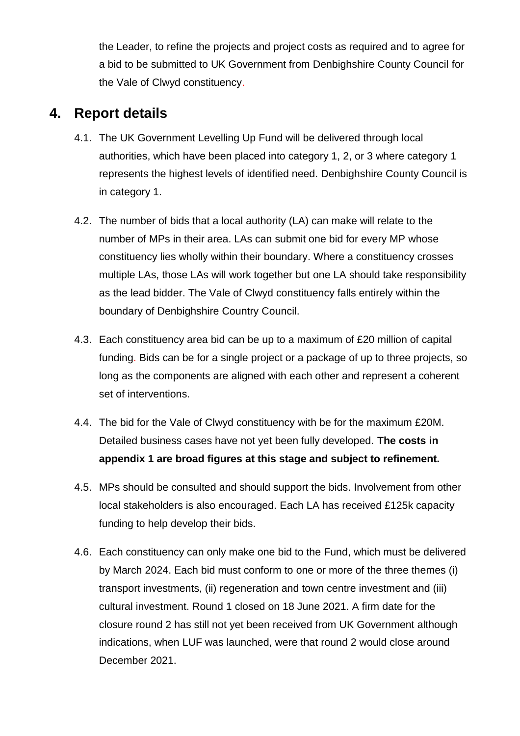the Leader, to refine the projects and project costs as required and to agree for a bid to be submitted to UK Government from Denbighshire County Council for the Vale of Clwyd constituency.

#### **4. Report details**

- 4.1. The UK Government Levelling Up Fund will be delivered through local authorities, which have been placed into category 1, 2, or 3 where category 1 represents the highest levels of identified need. Denbighshire County Council is in category 1.
- 4.2. The number of bids that a local authority (LA) can make will relate to the number of MPs in their area. LAs can submit one bid for every MP whose constituency lies wholly within their boundary. Where a constituency crosses multiple LAs, those LAs will work together but one LA should take responsibility as the lead bidder. The Vale of Clwyd constituency falls entirely within the boundary of Denbighshire Country Council.
- 4.3. Each constituency area bid can be up to a maximum of £20 million of capital funding. Bids can be for a single project or a package of up to three projects, so long as the components are aligned with each other and represent a coherent set of interventions.
- 4.4. The bid for the Vale of Clwyd constituency with be for the maximum £20M. Detailed business cases have not yet been fully developed. **The costs in appendix 1 are broad figures at this stage and subject to refinement.**
- 4.5. MPs should be consulted and should support the bids. Involvement from other local stakeholders is also encouraged. Each LA has received £125k capacity funding to help develop their bids.
- 4.6. Each constituency can only make one bid to the Fund, which must be delivered by March 2024. Each bid must conform to one or more of the three themes (i) transport investments, (ii) regeneration and town centre investment and (iii) cultural investment. Round 1 closed on 18 June 2021. A firm date for the closure round 2 has still not yet been received from UK Government although indications, when LUF was launched, were that round 2 would close around December 2021.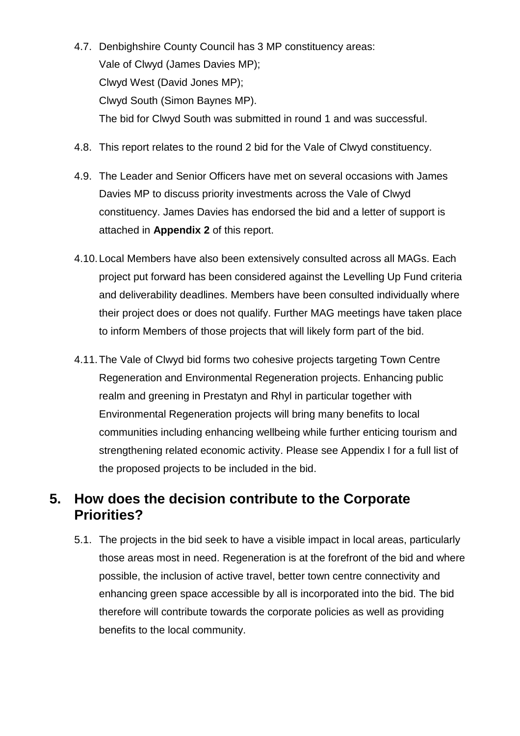- 4.7. Denbighshire County Council has 3 MP constituency areas: Vale of Clwyd (James Davies MP); Clwyd West (David Jones MP); Clwyd South (Simon Baynes MP). The bid for Clwyd South was submitted in round 1 and was successful.
- 4.8. This report relates to the round 2 bid for the Vale of Clwyd constituency.
- 4.9. The Leader and Senior Officers have met on several occasions with James Davies MP to discuss priority investments across the Vale of Clwyd constituency. James Davies has endorsed the bid and a letter of support is attached in **Appendix 2** of this report.
- 4.10.Local Members have also been extensively consulted across all MAGs. Each project put forward has been considered against the Levelling Up Fund criteria and deliverability deadlines. Members have been consulted individually where their project does or does not qualify. Further MAG meetings have taken place to inform Members of those projects that will likely form part of the bid.
- 4.11.The Vale of Clwyd bid forms two cohesive projects targeting Town Centre Regeneration and Environmental Regeneration projects. Enhancing public realm and greening in Prestatyn and Rhyl in particular together with Environmental Regeneration projects will bring many benefits to local communities including enhancing wellbeing while further enticing tourism and strengthening related economic activity. Please see Appendix I for a full list of the proposed projects to be included in the bid.

#### **5. How does the decision contribute to the Corporate Priorities?**

5.1. The projects in the bid seek to have a visible impact in local areas, particularly those areas most in need. Regeneration is at the forefront of the bid and where possible, the inclusion of active travel, better town centre connectivity and enhancing green space accessible by all is incorporated into the bid. The bid therefore will contribute towards the corporate policies as well as providing benefits to the local community.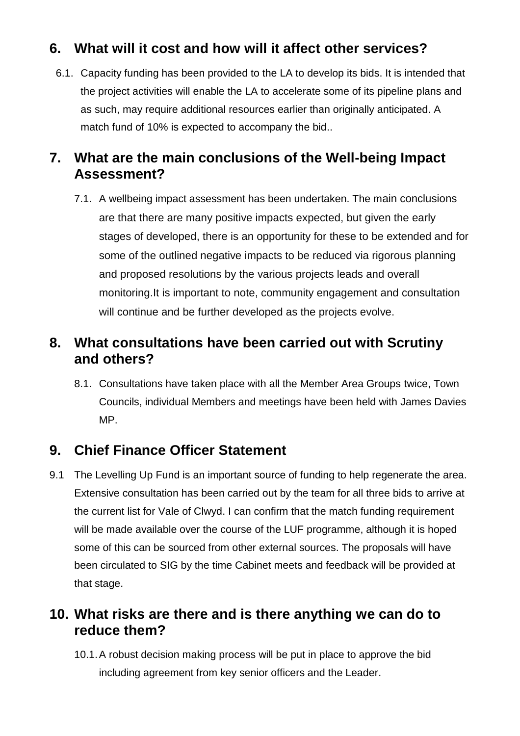## **6. What will it cost and how will it affect other services?**

6.1. Capacity funding has been provided to the LA to develop its bids. It is intended that the project activities will enable the LA to accelerate some of its pipeline plans and as such, may require additional resources earlier than originally anticipated. A match fund of 10% is expected to accompany the bid..

## **7. What are the main conclusions of the Well-being Impact Assessment?**

7.1. A wellbeing impact assessment has been undertaken. The main conclusions are that there are many positive impacts expected, but given the early stages of developed, there is an opportunity for these to be extended and for some of the outlined negative impacts to be reduced via rigorous planning and proposed resolutions by the various projects leads and overall monitoring.It is important to note, community engagement and consultation will continue and be further developed as the projects evolve.

#### **8. What consultations have been carried out with Scrutiny and others?**

8.1. Consultations have taken place with all the Member Area Groups twice, Town Councils, individual Members and meetings have been held with James Davies MP.

## **9. Chief Finance Officer Statement**

9.1 The Levelling Up Fund is an important source of funding to help regenerate the area. Extensive consultation has been carried out by the team for all three bids to arrive at the current list for Vale of Clwyd. I can confirm that the match funding requirement will be made available over the course of the LUF programme, although it is hoped some of this can be sourced from other external sources. The proposals will have been circulated to SIG by the time Cabinet meets and feedback will be provided at that stage.

## **10. What risks are there and is there anything we can do to reduce them?**

10.1.A robust decision making process will be put in place to approve the bid including agreement from key senior officers and the Leader.